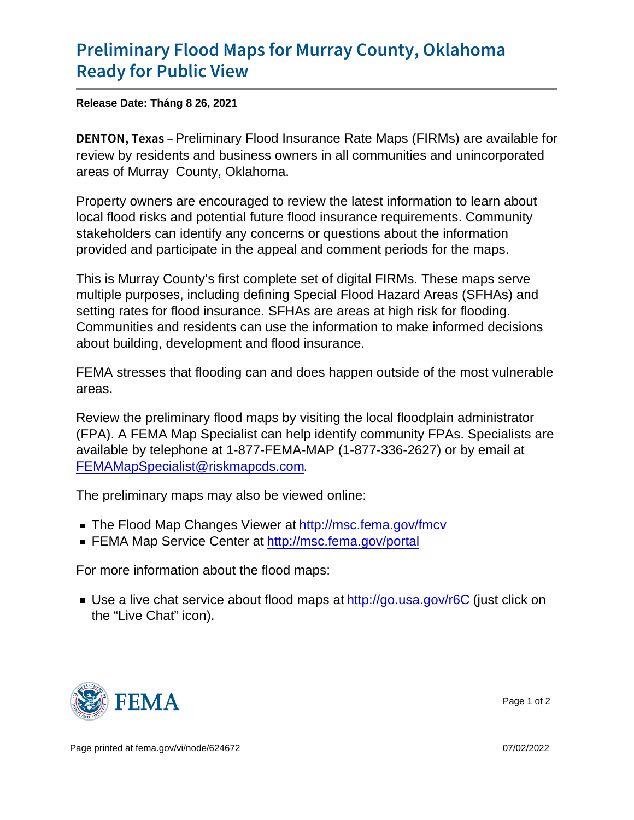## [Preliminary Flood Maps for Murr](https://www.fema.gov/press-release/20210828/preliminary-flood-maps-murray-county-oklahoma-ready-public-view)ay County [Ready for Pu](https://www.fema.gov/press-release/20210828/preliminary-flood-maps-murray-county-oklahoma-ready-public-view)blic View

Release Date: Tháng 8 26, 2021

DENTON, Peekimainary Flood Insurance Rate Maps (FIRMs) are available for review by residents and business owners in all communities and unincorporated areas of Murray County, Oklahoma.

Property owners are encouraged to review the latest information to learn about local flood risks and potential future flood insurance requirements. Community stakeholders can identify any concerns or questions about the information provided and participate in the appeal and comment periods for the maps.

This is Murray County's first complete set of digital FIRMs. These maps serve multiple purposes, including defining Special Flood Hazard Areas (SFHAs) and setting rates for flood insurance. SFHAs are areas at high risk for flooding. Communities and residents can use the information to make informed decisions about building, development and flood insurance.

FEMA stresses that flooding can and does happen outside of the most vulnerable areas.

Review the preliminary flood maps by visiting the local floodplain administrator (FPA). A FEMA Map Specialist can help identify community FPAs. Specialists are available by telephone at 1-877-FEMA-MAP (1-877-336-2627) or by email at [FEMAMapSpecialist@riskmapcds.com](mailto:FEMAMapSpecialist@riskmapcds.com).

The preliminary maps may also be viewed online:

- The Flood Map Changes Viewer at<http://msc.fema.gov/fmcv>
- FEMA Map Service Center at<http://msc.fema.gov/portal>

For more information about the flood maps:

■ Use a live chat service about flood maps at<http://go.usa.gov/r6C> (just click on the "Live Chat" icon).



Page 1 of 2